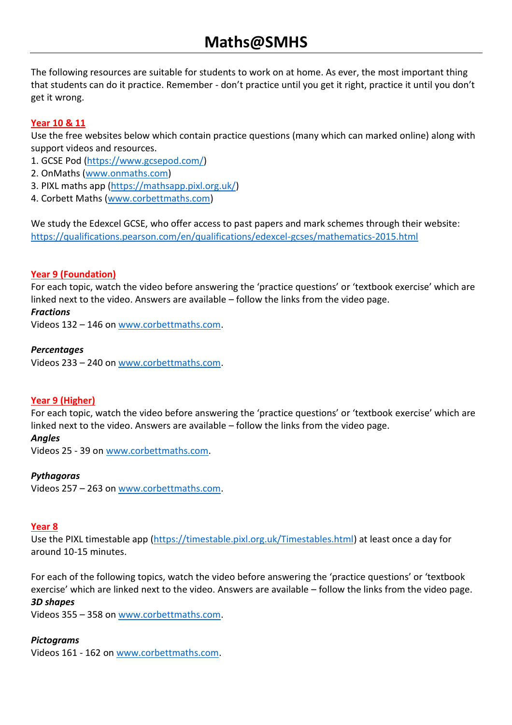# **Maths@SMHS**

The following resources are suitable for students to work on at home. As ever, the most important thing that students can do it practice. Remember - don't practice until you get it right, practice it until you don't get it wrong.

# **Year 10 & 11**

Use the free websites below which contain practice questions (many which can marked online) along with support videos and resources.

- 1. GCSE Pod [\(https://www.gcsepod.com/\)](https://www.gcsepod.com/)
- 2. OnMaths [\(www.onmaths.com\)](http://www.onmaths.com/)
- 3. PIXL maths app [\(https://mathsapp.pixl.org.uk/\)](https://mathsapp.pixl.org.uk/)
- 4. Corbett Maths [\(www.corbettmaths.com\)](http://www.corbettmaths.com/)

We study the Edexcel GCSE, who offer access to past papers and mark schemes through their website: <https://qualifications.pearson.com/en/qualifications/edexcel-gcses/mathematics-2015.html>

# **Year 9 (Foundation)**

For each topic, watch the video before answering the 'practice questions' or 'textbook exercise' which are linked next to the video. Answers are available – follow the links from the video page.

#### *Fractions*

Videos 132 – 146 on [www.corbettmaths.com.](http://www.corbettmaths.com/)

### *Percentages*

Videos 233 – 240 on [www.corbettmaths.com.](http://www.corbettmaths.com/)

# **Year 9 (Higher)**

For each topic, watch the video before answering the 'practice questions' or 'textbook exercise' which are linked next to the video. Answers are available – follow the links from the video page.

#### *Angles*

Videos 25 - 39 on [www.corbettmaths.com.](http://www.corbettmaths.com/)

# *Pythagoras*

Videos 257 – 263 on [www.corbettmaths.com.](http://www.corbettmaths.com/)

#### **Year 8**

Use the PIXL timestable app [\(https://timestable.pixl.org.uk/Timestables.html\)](https://timestable.pixl.org.uk/Timestables.html) at least once a day for around 10-15 minutes.

For each of the following topics, watch the video before answering the 'practice questions' or 'textbook exercise' which are linked next to the video. Answers are available – follow the links from the video page. *3D shapes* 

Videos 355 – 358 on [www.corbettmaths.com.](http://www.corbettmaths.com/)

# *Pictograms*

Videos 161 - 162 on [www.corbettmaths.com.](http://www.corbettmaths.com/)